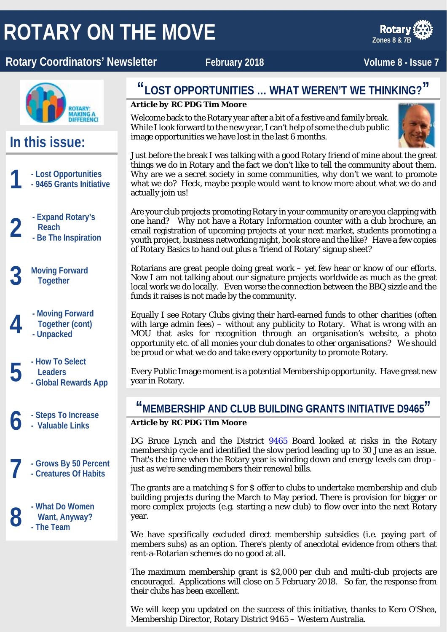# **ROTARY ON THE MOVE**

### **Rotary Coordinators' Newsletter February 2018** Motor Coordinators' Newsletter February 2018

**Zones 8 & 7B**



### **In this issue:**

- **1 - Lost Opportunities - 9465 Grants Initiative**
	- **2 - Expand Rotary's** 
		- **Reach**
		- **- Be The Inspiration**
	- **3 Moving Forward Together**
		- **4 - Moving Forward Together (cont) - Unpacked**
- **5 - How To Select - Global Rewards App Leaders**
	- **6 - Steps To Increase - Valuable Links**
	- **7 - Grows By 50 Percent**
		- **- Creatures Of Habits**

**8 CEN CENS CENS Want, Anyway?**<br> **8 CENS FINE TEAM Want, Anyway? - The Team**

### **"LOST OPPORTUNITIES … WHAT WEREN'T WE THINKING?"**

#### *Article by RC PDG Tim Moore*

Welcome back to the Rotary year after a bit of a festive and family break. While I look forward to the new year, I can't help of some the club public image opportunities we have lost in the last 6 months.



Just before the break I was talking with a good Rotary friend of mine about the great things we do in Rotary and the fact we don't like to tell the community about them. Why are we a secret society in some communities, why don't we want to promote what we do? Heck, maybe people would want to know more about what we do and actually join us!

Are your club projects promoting Rotary in your community or are you clapping with one hand? Why not have a Rotary Information counter with a club brochure, an email registration of upcoming projects at your next market, students promoting a youth project, business networking night, book store and the like? Have a few copies of Rotary Basics to hand out plus a 'friend of Rotary' signup sheet?

Rotarians are great people doing great work – yet few hear or know of our efforts. Now I am not talking about our signature projects worldwide as much as the great local work we do locally. Even worse the connection between the BBQ sizzle and the funds it raises is not made by the community.

Equally I see Rotary Clubs giving their hard-earned funds to other charities (often with large admin fees) – without any publicity to Rotary. What is wrong with an MOU that asks for recognition through an organisation's website, a photo opportunity etc. of all monies your club donates to other organisations? We should be proud or what we do and take every opportunity to promote Rotary.

Every Public Image moment is a potential Membership opportunity. Have great new year in Rotary.

### **"MEMBERSHIP AND CLUB BUILDING GRANTS INITIATIVE D9465"** *Article by RC PDG Tim Moore*

DG Bruce Lynch and the District [9465](http://rotary9465.org.au/) Board looked at risks in the Rotary membership cycle and identified the slow period leading up to 30 June as an issue. That's the time when the Rotary year is winding down and energy levels can drop just as we're sending members their renewal bills.

The grants are a matching \$ for \$ offer to clubs to undertake membership and club building projects during the March to May period. There is provision for bigger or more complex projects (e.g. starting a new club) to flow over into the next Rotary year.

We have specifically excluded direct membership subsidies (i.e. paying part of members subs) as an option. There's plenty of anecdotal evidence from others that rent-a-Rotarian schemes do no good at all.

The maximum membership grant is \$2,000 per club and multi-club projects are encouraged. Applications will close on 5 February 2018. So far, the response from their clubs has been excellent.

We will keep you updated on the success of this initiative, thanks to Kero O'Shea, Membership Director, Rotary District 9465 – Western Australia.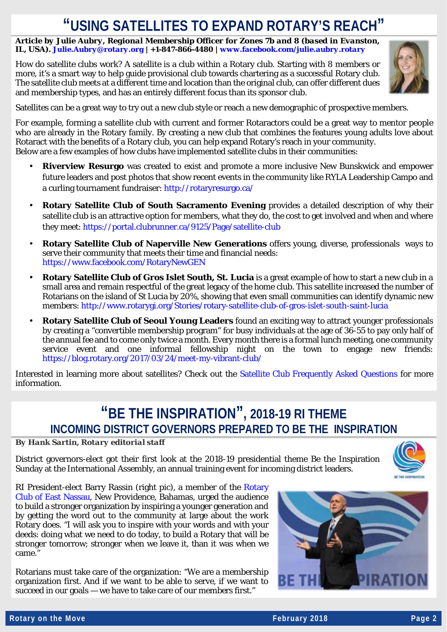## **"USING SATELLITES TO EXPAND ROTARY'S REACH"**

*Article by Julie Aubry, Regional Membership Officer for Zones 7b and 8 (based in Evanston, IL, USA). [Julie.Aubry@rotary.org](mailto:Julie.Aubry@rotary.org) | +1-847-866-4480 [| www.facebook.com/julie.aubry.rotary](http://www.facebook.com/julie.aubry.rotary)*

How do satellite clubs work? A satellite is a club within a Rotary club. Starting with 8 members or more, it's a smart way to help guide provisional club towards chartering as a successful Rotary club. The satellite club meets at a different time and location than the original club, can offer different dues and membership types, and has an entirely different focus than its sponsor club.



Satellites can be a great way to try out a new club style or reach a new demographic of prospective members.

For example, forming a satellite club with current and former Rotaractors could be a great way to mentor people who are already in the Rotary family. By creating a new club that combines the features young adults love about Rotaract with the benefits of a Rotary club, you can help expand Rotary's reach in your community. Below are a few examples of how clubs have implemented satellite clubs in their communities:

- **Riverview Resurgo** was created to exist and promote a more inclusive New Bunskwick and empower future leaders and post photos that show recent events in the community like RYLA Leadership Campo and a curling tournament fundraiser:<http://rotaryresurgo.ca/>
- **Rotary Satellite Club of South Sacramento Evening** provides a detailed description of why their satellite club is an attractive option for members, what they do, the cost to get involved and when and where they meet:<https://portal.clubrunner.ca/9125/Page/satellite-club>
- **Rotary Satellite Club of Naperville New Generations** offers young, diverse, professionals ways to serve their community that meets their time and financial needs: <https://www.facebook.com/RotaryNewGEN>
- **Rotary Satellite Club of Gros Islet South, St. Lucia** is a great example of how to start a new club in a small area and remain respectful of the great legacy of the home club. This satellite increased the number of Rotarians on the island of St Lucia by 20%, showing that even small communities can identify dynamic new members:<http://www.rotarygi.org/Stories/rotary-satellite-club-of-gros-islet-south-saint-lucia>
- **Rotary Satellite Club of Seoul Young Leaders** found an exciting way to attract younger professionals by creating a "convertible membership program" for busy individuals at the age of 36-55 to pay only half of the annual fee and to come only twice a month. Every month there is a formal lunch meeting, one community service event and one informal fellowship night on the town to engage new friends: <https://blog.rotary.org/2017/03/24/meet-my-vibrant-club/>

Interested in learning more about satellites? Check out the [Satellite Club Frequently Asked Questions](https://my.rotary.org/en/document/satellite-club-frequently-asked-questions) for more information.

### **"BE THE INSPIRATION" , 2018-19 RI THEME INCOMING DISTRICT GOVERNORS PREPARED TO BE THE INSPIRATION**

*By Hank Sartin, Rotary editorial staff*

District governors-elect got their first look at the 2018-19 presidential theme Be the Inspiration Sunday at the International Assembly, an annual training event for incoming district leaders.



RI President-elect Barry Rassin (right pic), a member of the [Rotary](http://www.rcen.org/)  [Club of East Nassau,](http://www.rcen.org/) New Providence, Bahamas, urged the audience to build a stronger organization by inspiring a younger generation and by getting the word out to the community at large about the work Rotary does. "I will ask you to inspire with your words and with your deeds: doing what we need to do today, to build a Rotary that will be stronger tomorrow; stronger when we leave it, than it was when we came."

Rotarians must take care of the organization: "We are a membership organization first. And if we want to be able to serve, if we want to succeed in our goals — we have to take care of our members first."

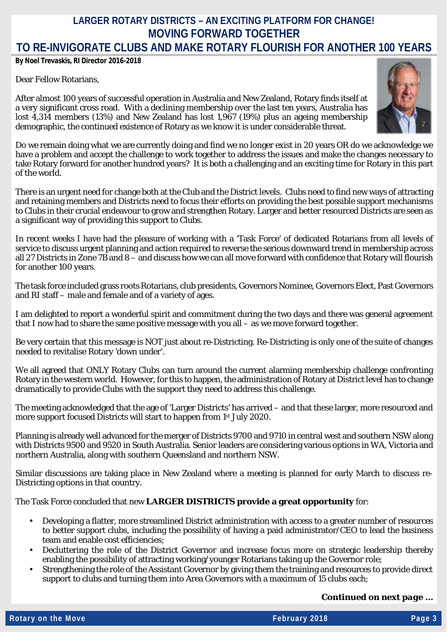### **LARGER ROTARY DISTRICTS – AN EXCITING PLATFORM FOR CHANGE! MOVING FORWARD TOGETHER TO RE-INVIGORATE CLUBS AND MAKE ROTARY FLOURISH FOR ANOTHER 100 YEARS**

*By Noel Trevaskis, RI Director 2016-2018*

#### Dear Fellow Rotarians,

After almost 100 years of successful operation in Australia and New Zealand, Rotary finds itself at a very significant cross road. With a declining membership over the last ten years, Australia has lost 4,314 members (13%) and New Zealand has lost 1,967 (19%) plus an ageing membership demographic, the continued existence of Rotary as we know it is under considerable threat.



Do we remain doing what we are currently doing and find we no longer exist in 20 years OR do we acknowledge we have a problem and accept the challenge to work together to address the issues and make the changes necessary to take Rotary forward for another hundred years? It is both a challenging and an exciting time for Rotary in this part of the world.

There is an urgent need for change both at the Club and the District levels. Clubs need to find new ways of attracting and retaining members and Districts need to focus their efforts on providing the best possible support mechanisms to Clubs in their crucial endeavour to grow and strengthen Rotary. Larger and better resourced Districts are seen as a significant way of providing this support to Clubs.

In recent weeks I have had the pleasure of working with a 'Task Force' of dedicated Rotarians from all levels of service to discuss urgent planning and action required to reverse the serious downward trend in membership across all 27 Districts in Zone 7B and 8 – and discuss how we can all move forward with confidence that Rotary will flourish for another 100 years.

The task force included grass roots Rotarians, club presidents, Governors Nominee, Governors Elect, Past Governors and RI staff – male and female and of a variety of ages.

I am delighted to report a wonderful spirit and commitment during the two days and there was general agreement that I now had to share the same positive message with you all – as we move forward together.

Be very certain that this message is NOT just about re-Districting. Re-Districting is only one of the suite of changes needed to revitalise Rotary 'down under'.

We all agreed that ONLY Rotary Clubs can turn around the current alarming membership challenge confronting Rotary in the western world. However, for this to happen, the administration of Rotary at District level has to change dramatically to provide Clubs with the support they need to address this challenge.

The meeting acknowledged that the age of 'Larger Districts' has arrived – and that these larger, more resourced and more support focused Districts will start to happen from 1st July 2020.

Planning is already well advanced for the merger of Districts 9700 and 9710 in central west and southern NSW along with Districts 9500 and 9520 in South Australia. Senior leaders are considering various options in WA, Victoria and northern Australia, along with southern Queensland and northern NSW.

Similar discussions are taking place in New Zealand where a meeting is planned for early March to discuss re-Districting options in that country.

The Task Force concluded that new **LARGER DISTRICTS provide a great opportunity** for:

- Developing a flatter, more streamlined District administration with access to a greater number of resources to better support clubs, including the possibility of having a paid administrator/CEO to lead the business team and enable cost efficiencies;
- Decluttering the role of the District Governor and increase focus more on strategic leadership thereby enabling the possibility of attracting working/younger Rotarians taking up the Governor role;
- Strengthening the role of the Assistant Governor by giving them the training and resources to provide direct support to clubs and turning them into Area Governors with a maximum of 15 clubs each;

*Continued on next page …*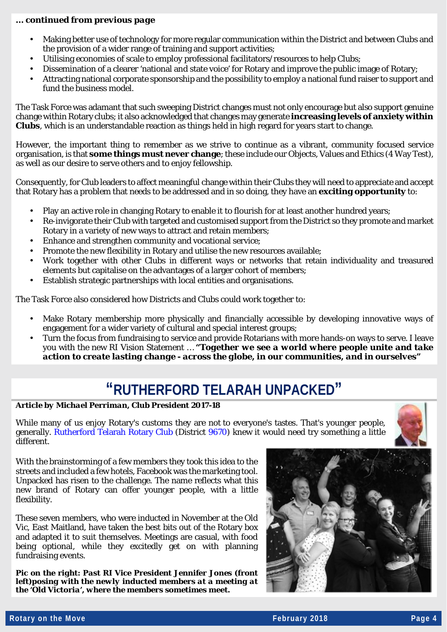#### *… continued from previous page*

- Making better use of technology for more regular communication within the District and between Clubs and the provision of a wider range of training and support activities;
- Utilising economies of scale to employ professional facilitators/resources to help Clubs;
- Dissemination of a clearer 'national and state voice' for Rotary and improve the public image of Rotary;
- Attracting national corporate sponsorship and the possibility to employ a national fund raiser to support and fund the business model

The Task Force was adamant that such sweeping District changes must not only encourage but also support genuine change within Rotary clubs; it also acknowledged that changes may generate **increasing levels of anxiety within Clubs**, which is an understandable reaction as things held in high regard for years start to change.

However, the important thing to remember as we strive to continue as a vibrant, community focused service organisation, is that **some things must never change**; these include our Objects, Values and Ethics (4 Way Test), as well as our desire to serve others and to enjoy fellowship.

Consequently, for Club leaders to affect meaningful change within their Clubs they will need to appreciate and accept that Rotary has a problem that needs to be addressed and in so doing, they have an **exciting opportunity** to:

- Play an active role in changing Rotary to enable it to flourish for at least another hundred years;
- Re-invigorate their Club with targeted and customised support from the District so they promote and market Rotary in a variety of new ways to attract and retain members;
- Enhance and strengthen community and vocational service;
- Promote the new flexibility in Rotary and utilise the new resources available;
- Work together with other Clubs in different ways or networks that retain individuality and treasured elements but capitalise on the advantages of a larger cohort of members;
- Establish strategic partnerships with local entities and organisations.

The Task Force also considered how Districts and Clubs could work together to:

- Make Rotary membership more physically and financially accessible by developing innovative ways of engagement for a wider variety of cultural and special interest groups;
- Turn the focus from fundraising to service and provide Rotarians with more hands-on ways to serve. I leave you with the new RI Vision Statement … *"Together we see a world where people unite and take action to create lasting change - across the globe, in our communities, and in ourselves"*

### **"RUTHERFORD TELARAH UNPACKED"**

*Article by Michael Perriman, Club President 2017-18*

While many of us enjoy Rotary's customs they are not to everyone's tastes. That's younger people, generally. [Rutherford Telarah Rotary Club](http://www.rutherfordtelarahrotary.org.au/) (District [9670\)](http://www.rotary9670.org.au/) knew it would need try something a little different.



With the brainstorming of a few members they took this idea to the streets and included a few hotels, Facebook was the marketing tool. Unpacked has risen to the challenge. The name reflects what this new brand of Rotary can offer younger people, with a little flexibility.

These seven members, who were inducted in November at the Old Vic, East Maitland, have taken the best bits out of the Rotary box and adapted it to suit themselves. Meetings are casual, with food being optional, while they excitedly get on with planning fundraising events.

*Pic on the right: Past RI Vice President Jennifer Jones (front left)posing with the newly inducted members at a meeting at the 'Old Victoria', where the members sometimes meet.*

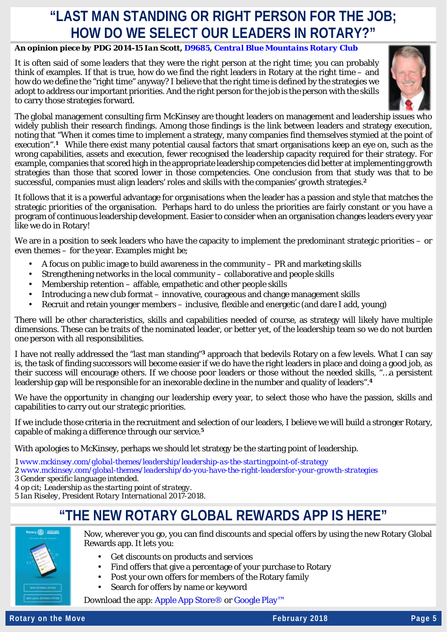### **"LAST MAN STANDING OR RIGHT PERSON FOR THE JOB; HOW DO WE SELECT OUR LEADERS IN ROTARY?"**

#### *An opinion piece by PDG 2014-15 Ian Scott[, D9685,](http://rotarydistrict9685.org.au/) [Central Blue Mountains Rotary](http://centralbluerotary.org/) Club*

It is often said of some leaders that they were the right person at the right time; you can probably think of examples. If that is true, how do we find the right leaders in Rotary at the right time – and how do we define the "right time" anyway? I believe that the right time is defined by the strategies we adopt to address our important priorities. And the right person for the job is the person with the skills to carry those strategies forward.



The global management consulting firm McKinsey are thought leaders on management and leadership issues who widely publish their research findings. Among those findings is the link between leaders and strategy execution, noting that "When it comes time to implement a strategy, many companies find themselves stymied at the point of execution".**<sup>1</sup>** While there exist many potential causal factors that smart organisations keep an eye on, such as the wrong capabilities, assets and execution, fewer recognised the leadership capacity required for their strategy. For example, companies that scored high in the appropriate leadership competencies did better at implementing growth strategies than those that scored lower in those competencies. One conclusion from that study was that to be successful, companies must align leaders' roles and skills with the companies' growth strategies.**<sup>2</sup>**

It follows that it is a powerful advantage for organisations when the leader has a passion and style that matches the strategic priorities of the organisation. Perhaps hard to do unless the priorities are fairly constant or you have a program of continuous leadership development. Easier to consider when an organisation changes leaders every year like we do in Rotary!

We are in a position to seek leaders who have the capacity to implement the predominant strategic priorities – or even themes – for the year. Examples might be;

- A focus on public image to build awareness in the community PR and marketing skills
- Strengthening networks in the local community collaborative and people skills
- Membership retention affable, empathetic and other people skills
- Introducing a new club format innovative, courageous and change management skills
- Recruit and retain younger members inclusive, flexible and energetic (and dare I add, young)

There will be other characteristics, skills and capabilities needed of course, as strategy will likely have multiple dimensions. These can be traits of the nominated leader, or better yet, of the leadership team so we do not burden one person with all responsibilities.

I have not really addressed the "last man standing"**<sup>3</sup>** approach that bedevils Rotary on a few levels. What I can say is, the task of finding successors will become easier if we do have the right leaders in place and doing a good job, as their success will encourage others. If we choose poor leaders or those without the needed skills, "…a persistent leadership gap will be responsible for an inexorable decline in the number and quality of leaders".**<sup>4</sup>**

We have the opportunity in changing our leadership every year, to select those who have the passion, skills and capabilities to carry out our strategic priorities.

If we include those criteria in the recruitment and selection of our leaders, I believe we will build a stronger Rotary, capable of making a difference through our service.**<sup>5</sup>**

With apologies to McKinsey, perhaps we should let strategy be the starting point of leadership.

*1 [www.mckinsey.com/global-themes/leadership/leadership-as-the-startingpoint-of-strategy](http://www.mckinsey.com/global-themes/leadership/leadership-as-the-startingpoint-of-strategy)*

*[2 www.mckinsey.com/global-themes/leadership/do-you-have-the-right-leadersfor-your-growth-strategies](http://www.mckinsey.com/global-themes/leadership/do-you-have-the-right-leadersfor-your-growth-strategies)*

*3 Gender specific language intended.*

*4 op cit; Leadership as the starting point of strategy.*

*5 Ian Riseley, President Rotary International 2017-2018.*

### **"THE NEW ROTARY GLOBAL REWARDS APP IS HERE"**



Now, wherever you go, you can find discounts and special offers by using the new Rotary Global Rewards app. It lets you:

- Get discounts on products and services
- Find offers that give a percentage of your purchase to Rotary
- Post your own offers for members of the Rotary family
- Search for offers by name or keyword

Download the app: [Apple App Store®](http://rotary.msgfocus.com/c/11fB9uZiZV2wKawX36gOpby7gOB) or [Google Play™](http://rotary.msgfocus.com/c/11fB9CM1EKd1HBAvcfOSVAkpBJO)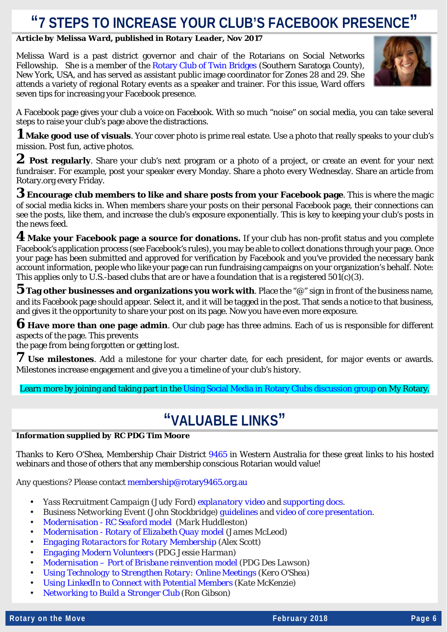## **"7 STEPS TO INCREASE YOUR CLUB'S FACEBOOK PRESENCE"**

#### *Article by Melissa Ward, published in Rotary Leader, Nov 2017*

Melissa Ward is a past district governor and chair of the Rotarians on Social Networks Fellowship. She is a member of the [Rotary Club of Twin Bridges](http://www.twinbridgesrotary.com/) (Southern Saratoga County), New York, USA, and has served as assistant public image coordinator for Zones 28 and 29. She attends a variety of regional Rotary events as a speaker and trainer. For this issue, Ward offers seven tips for increasing your Facebook presence.



A Facebook page gives your club a voice on Facebook. With so much "noise" on social media, you can take several steps to raise your club's page above the distractions.

**1 Make good use of visuals**. Your cover photo is prime real estate. Use a photo that really speaks to your club's mission. Post fun, active photos.

**2 Post regularly**. Share your club's next program or a photo of a project, or create an event for your next fundraiser. For example, post your speaker every Monday. Share a photo every Wednesday. Share an article from Rotary.org every Friday.

**3 Encourage club members to like and share posts from your Facebook page**. This is where the magic of social media kicks in. When members share your posts on their personal Facebook page, their connections can see the posts, like them, and increase the club's exposure exponentially. This is key to keeping your club's posts in the news feed.

**4 Make your Facebook page a source for donations.** If your club has non-profit status and you complete Facebook's application process (see Facebook's rules), you may be able to collect donations through your page. Once your page has been submitted and approved for verification by Facebook and you've provided the necessary bank account information, people who like your page can run fundraising campaigns on your organization's behalf. Note: This applies only to U.S.-based clubs that are or have a foundation that is a registered  $501(c)(3)$ .

**5 Tag other businesses and organizations you work with**. Place the "@" sign in front of the business name, and its Facebook page should appear. Select it, and it will be tagged in the post. That sends a notice to that business, and gives it the opportunity to share your post on its page. Now you have even more exposure.

**6 Have more than one page admin**. Our club page has three admins. Each of us is responsible for different aspects of the page. This prevents

the page from being forgotten or getting lost.

**7 Use milestones**. Add a milestone for your charter date, for each president, for major events or awards. Milestones increase engagement and give you a timeline of your club's history.

Learn more by joining and taking part in the [Using Social Media in Rotary Clubs discussion group](https://my.rotary.org/en/exchange-ideas/groups/using-social-media-rotary-clubs) on My Rotary.

### **"VALUABLE LINKS"**

#### *Information supplied by RC PDG Tim Moore*

Thanks to Kero O'Shea, Membership Chair District [9465](http://www.rotary9465.org.au/) in Western Australia for these great links to his hosted webinars and those of others that any membership conscious Rotarian would value!

Any questions? Please contac[t membership@rotary9465.org.au](mailto:membership@rotary9465.org.au)

- *Yass Recruitment Campaign (Judy Ford) [explanatory video](https://www.facebook.com/RotaryMembershipVoice/videos/341444446266264/) and [supporting docs.](https://www.yassrotary.org/membership-recruitment)*
- *Business Networking Event (John Stockbridge) [guidelines](https://clubrunner.blob.core.windows.net/00000050113/en-ca/files/sitepage/membership/business-networking-event-guidelines/Business-Networking-Guidelines.pdf) and [video of core presentation.](https://www.facebook.com/RotaryMembershipVoice/videos/341430899600952/)*
- *Modernisation - [RC Seaford model](https://youtu.be/odYFlY-n5zI) (Mark Huddleston)*
- *Modernisation - [Rotary of Elizabeth Quay model](https://www.facebook.com/RotaryMembershipVoice/videos/341180726292636/) (James McLeod)*  $\overline{a}$
- *[Engaging Rotaractors for Rotary Membership](https://www.facebook.com/RotaryMembershipVoice/videos/341195116291197/) (Alex Scott)* ÷.
- *[Engaging Modern Volunteers](https://www.facebook.com/RotaryMembershipVoice/videos/379317499145625/) (PDG Jessie Harman)*
- *Modernisation – [Port of Brisbane reinvention model](https://vimeo.com/145105762) (PDG Des Lawson)*
- *[Using Technology to Strengthen Rotary: Online Meetings](https://www.facebook.com/RotaryMembershipVoice/videos/309352252808817/) (Kero O'Shea)*
- *[Using LinkedIn to Connect with Potential Members](https://www.facebook.com/RotaryMembershipVoice/videos/vl.2006202636278111/341204476290261/) (Kate McKenzie)*
- *[Networking to Build a Stronger Club](https://www.facebook.com/RotaryMembershipVoice/videos/279180585825984/) (Ron Gibson)*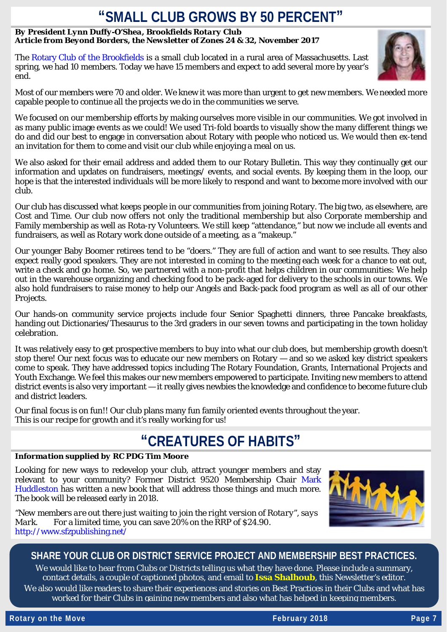### **"SMALL CLUB GROWS BY 50 PERCENT"**

#### *By President Lynn Duffy-O'Shea, Brookfields Rotary Club Article from Beyond Borders, the Newsletter of Zones 24 & 32, November 2017*

The [Rotary Club of the Brookfields](http://rotarybrookfields.webs.com/) is a small club located in a rural area of Massachusetts. Last spring, we had 10 members. Today we have 15 members and expect to add several more by year's end.



Most of our members were 70 and older. We knew it was more than urgent to get new members. We needed more capable people to continue all the projects we do in the communities we serve.

We focused on our membership efforts by making ourselves more visible in our communities. We got involved in as many public image events as we could! We used Tri-fold boards to visually show the many different things we do and did our best to engage in conversation about Rotary with people who noticed us. We would then ex-tend an invitation for them to come and visit our club while enjoying a meal on us.

We also asked for their email address and added them to our Rotary Bulletin. This way they continually get our information and updates on fundraisers, meetings/ events, and social events. By keeping them in the loop, our hope is that the interested individuals will be more likely to respond and want to become more involved with our club.

Our club has discussed what keeps people in our communities from joining Rotary. The big two, as elsewhere, are Cost and Time. Our club now offers not only the traditional membership but also Corporate membership and Family membership as well as Rota-ry Volunteers. We still keep "attendance," but now we include all events and fundraisers, as well as Rotary work done outside of a meeting, as a "makeup."

Our younger Baby Boomer retirees tend to be "doers." They are full of action and want to see results. They also expect really good speakers. They are not interested in coming to the meeting each week for a chance to eat out, write a check and go home. So, we partnered with a non-profit that helps children in our communities: We help out in the warehouse organizing and checking food to be pack-aged for delivery to the schools in our towns. We also hold fundraisers to raise money to help our Angels and Back-pack food program as well as all of our other Projects.

Our hands-on community service projects include four Senior Spaghetti dinners, three Pancake breakfasts, handing out Dictionaries/Thesaurus to the 3rd graders in our seven towns and participating in the town holiday celebration.

It was relatively easy to get prospective members to buy into what our club does, but membership growth doesn't stop there! Our next focus was to educate our new members on Rotary — and so we asked key district speakers come to speak. They have addressed topics including The Rotary Foundation, Grants, International Projects and Youth Exchange. We feel this makes our new members empowered to participate. Inviting new members to attend district events is also very important — it really gives newbies the knowledge and confidence to become future club and district leaders.

Our final focus is on fun!! Our club plans many fun family oriented events throughout the year. This is our recipe for growth and it's really working for us!

### **"CREATURES OF HABITS"**

#### *Information supplied by RC PDG Tim Moore*

Looking for new ways to redevelop your club, attract younger members and stay relevant to your community? Former District 9520 Membership Chair [Mark](https://www.facebook.com/search/top/?q=Mark+Huddleston&init=public)  [Huddleston](https://www.facebook.com/search/top/?q=Mark+Huddleston&init=public) has written a new book that will address those things and much more. The book will be released early in 2018.

*"New members are out there just waiting to join the right version of Rotary", says Mark.* For a limited time, you can save 20% on the RRP of \$24.90. <http://www.sfzpublishing.net/>



#### **SHARE YOUR CLUB OR DISTRICT SERVICE PROJECT AND MEMBERSHIP BEST PRACTICES.**

We would like to hear from Clubs or Districts telling us what they have done. Please include a summary, contact details, a couple of captioned photos, and email to **[Issa Shalhoub](mailto:shalhoubissa@shoal.net.au)**, this Newsletter's editor*.* We also would like readers to share their experiences and stories on Best Practices in their Clubs and what has worked for their Clubs in gaining new members and also what has helped in keeping members.